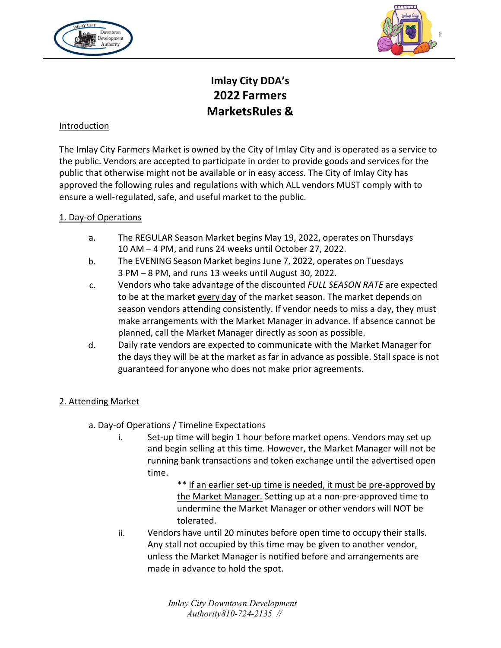



# **Imlay City DDA's 2022 Farmers MarketsRules &**

#### **Introduction**

The Imlay City Farmers Market is owned by the City of Imlay City and is operated as a service to the public. Vendors are accepted to participate in order to provide goods and services for the public that otherwise might not be available or in easy access. The City of Imlay City has approved the following rules and regulations with which ALL vendors MUST comply with to ensure a well-regulated, safe, and useful market to the public.

#### 1. Day-of Operations

- a. The REGULAR Season Market begins May 19, 2022, operates on Thursdays 10 AM – 4 PM, and runs 24 weeks until October 27, 2022.
- The EVENING Season Market begins June 7, 2022, operates on Tuesdays 3 PM – 8 PM, and runs 13 weeks until August 30, 2022. b.
- Vendors who take advantage of the discounted *FULL SEASON RATE* are expected to be at the market every day of the market season. The market depends on season vendors attending consistently. If vendor needs to miss a day, they must make arrangements with the Market Manager in advance. If absence cannot be planned, call the Market Manager directly as soon as possible. c.
- Daily rate vendors are expected to communicate with the Market Manager for the daysthey will be at the market as far in advance as possible. Stall space is not guaranteed for anyone who does not make prior agreements. d.

## 2. Attending Market

- a. Day-of Operations / Timeline Expectations
	- i. Set-up time will begin 1 hour before market opens. Vendors may set up and begin selling at this time. However, the Market Manager will not be running bank transactions and token exchange until the advertised open time.

\*\* If an earlier set-up time is needed, it must be pre-approved by the Market Manager. Setting up at a non-pre-approved time to undermine the Market Manager or other vendors will NOT be tolerated.

Vendors have until 20 minutes before open time to occupy their stalls. Any stall not occupied by this time may be given to another vendor, unless the Market Manager is notified before and arrangements are made in advance to hold the spot. ii.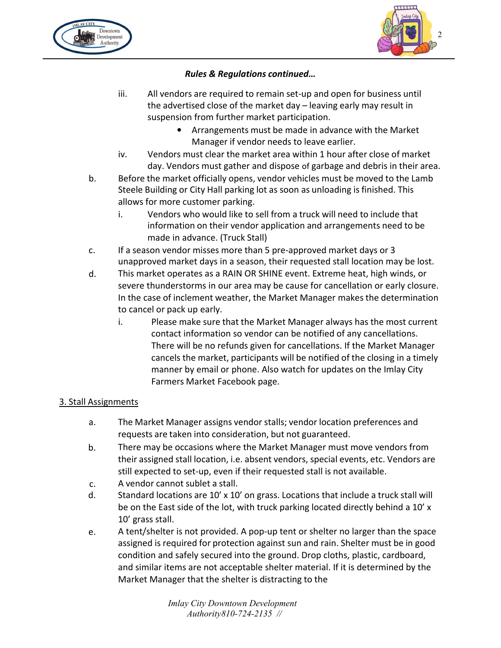



- iii. All vendors are required to remain set-up and open for business until the advertised close of the market day – leaving early may result in suspension from further market participation.
	- Arrangements must be made in advance with the Market Manager if vendor needs to leave earlier.
- iv. Vendors must clear the market area within 1 hour after close of market day. Vendors must gather and dispose of garbage and debris in their area.
- b. Before the market officially opens, vendor vehicles must be moved to the Lamb Steele Building or City Hall parking lot as soon as unloading is finished. This allows for more customer parking.
	- i. Vendors who would like to sell from a truck will need to include that information on their vendor application and arrangements need to be made in advance. (Truck Stall)
- c. If a season vendor misses more than 5 pre-approved market days or 3 unapproved market days in a season, their requested stall location may be lost.
- This market operates as a RAIN OR SHINE event. Extreme heat, high winds, or severe thunderstorms in our area may be cause for cancellation or early closure. In the case of inclement weather, the Market Manager makes the determination to cancel or pack up early. d.
	- i. Please make sure that the Market Manager always has the most current contact information so vendor can be notified of any cancellations. There will be no refunds given for cancellations. If the Market Manager cancels the market, participants will be notified of the closing in a timely manner by email or phone. Also watch for updates on the Imlay City Farmers Market Facebook page.

## 3. Stall Assignments

- a. The Market Manager assigns vendor stalls; vendor location preferences and requests are taken into consideration, but not guaranteed.
- There may be occasions where the Market Manager must move vendors from their assigned stall location, i.e. absent vendors, special events, etc. Vendors are still expected to set-up, even if their requested stall is not available. b.
- A vendor cannot sublet a stall. c.
- Standard locations are 10' x 10' on grass. Locations that include a truck stall will be on the East side of the lot, with truck parking located directly behind a 10' x 10' grass stall. d.
- A tent/shelter is not provided. A pop-up tent or shelter no larger than the space assigned is required for protection against sun and rain. Shelter must be in good condition and safely secured into the ground. Drop cloths, plastic, cardboard, and similar items are not acceptable shelter material. If it is determined by the Market Manager that the shelter is distracting to the e.

*Imlay City Downtown Development [Authority810-72](http://www.icdda.com/)4-2135 //*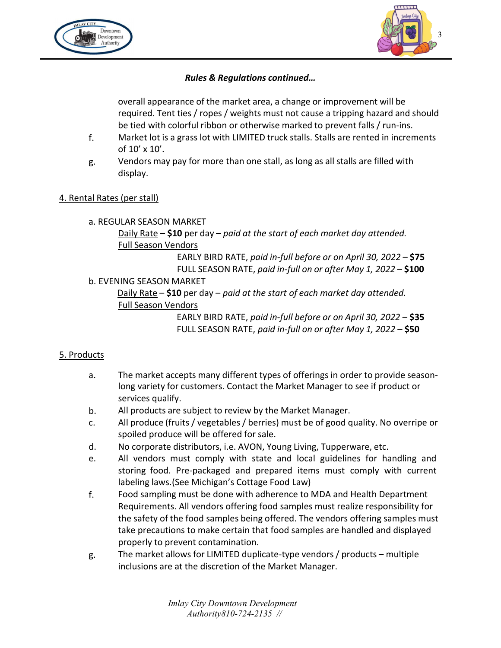



overall appearance of the market area, a change or improvement will be required. Tent ties / ropes / weights must not cause a tripping hazard and should be tied with colorful ribbon or otherwise marked to prevent falls / run-ins.

- Market lot is a grass lot with LIMITED truck stalls. Stalls are rented in increments of 10' x 10'. f.
- Vendors may pay for more than one stall, as long as all stalls are filled with display. g.

## 4. Rental Rates (per stall)

a. REGULAR SEASON MARKET

Daily Rate – **\$10** per day – *paid at the start of each market day attended.* Full Season Vendors

> EARLY BIRD RATE, *paid in-full before or on April 30, 2022* – **\$75** FULL SEASON RATE, *paid in-full on or after May 1, 2022* – **\$100**

b. EVENING SEASON MARKET

Daily Rate – **\$10** per day – *paid at the start of each market day attended.* Full Season Vendors

> EARLY BIRD RATE, *paid in-full before or on April 30, 2022* – **\$35** FULL SEASON RATE, *paid in-full on or after May 1, 2022* – **\$50**

## 5. Products

- a. The market accepts many different types of offerings in order to provide seasonlong variety for customers. Contact the Market Manager to see if product or services qualify.
- All products are subject to review by the Market Manager. b.
- All produce (fruits / vegetables / berries) must be of good quality. No overripe or spoiled produce will be offered for sale. c.
- No corporate distributors, i.e. AVON, Young Living, Tupperware, etc. d.
- All vendors must comply with state and local guidelines for handling and storing food. Pre-packaged and prepared items must comply with current labeling laws.(See Michigan's Cottage Food Law) e.
- Food sampling must be done with adherence to MDA and Health Department Requirements. All vendors offering food samples must realize responsibility for the safety of the food samples being offered. The vendors offering samples must take precautions to make certain that food samples are handled and displayed properly to prevent contamination. f.
- The market allows for LIMITED duplicate-type vendors / products multiple inclusions are at the discretion of the Market Manager. g.

*Imlay City Downtown Development [Authority810-72](http://www.icdda.com/)4-2135 //*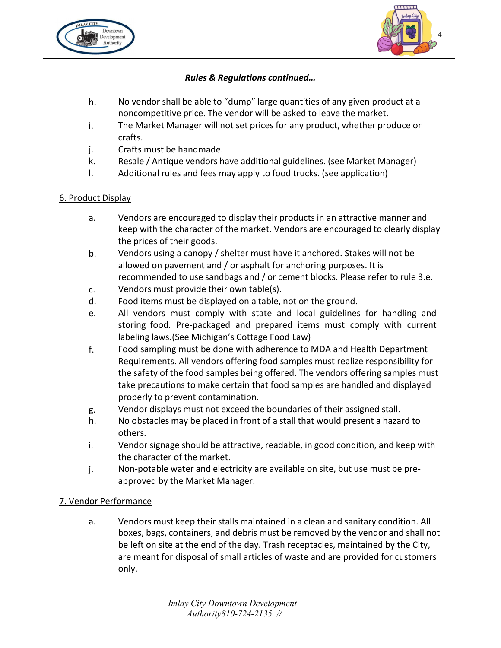



- h. No vendor shall be able to "dump" large quantities of any given product at a noncompetitive price. The vendor will be asked to leave the market.
- The Market Manager will not set prices for any product, whether produce or crafts. i.
- Crafts must be handmade. j.
- Resale / Antique vendors have additional guidelines. (see Market Manager) k.
- Additional rules and fees may apply to food trucks. (see application) l.

## 6. Product Display

- a. Vendors are encouraged to display their products in an attractive manner and keep with the character of the market. Vendors are encouraged to clearly display the prices of their goods.
- Vendors using a canopy / shelter must have it anchored. Stakes will not be allowed on pavement and / or asphalt for anchoring purposes. It is recommended to use sandbags and / or cement blocks. Please refer to rule 3.e. b.
- Vendors must provide their own table(s). c.
- Food items must be displayed on a table, not on the ground. d.
- All vendors must comply with state and local guidelines for handling and storing food. Pre-packaged and prepared items must comply with current labeling laws.(See Michigan's Cottage Food Law) e.
- Food sampling must be done with adherence to MDA and Health Department Requirements. All vendors offering food samples must realize responsibility for the safety of the food samples being offered. The vendors offering samples must take precautions to make certain that food samples are handled and displayed properly to prevent contamination. f.
- Vendor displays must not exceed the boundaries of their assigned stall. g.
- No obstacles may be placed in front of a stall that would present a hazard to others. h.
- Vendor signage should be attractive, readable, in good condition, and keep with the character of the market. i.
- Non-potable water and electricity are available on site, but use must be preapproved by the Market Manager. j.

## 7. Vendor Performance

a. Vendors must keep their stalls maintained in a clean and sanitary condition. All boxes, bags, containers, and debris must be removed by the vendor and shall not be left on site at the end of the day. Trash receptacles, maintained by the City, are meant for disposal of small articles of waste and are provided for customers only.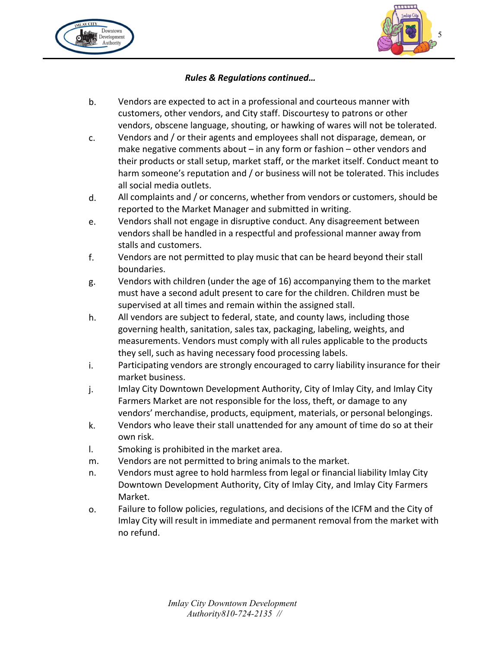



- b. Vendors are expected to act in a professional and courteous manner with customers, other vendors, and City staff. Discourtesy to patrons or other vendors, obscene language, shouting, or hawking of wares will not be tolerated.
- Vendors and / or their agents and employees shall not disparage, demean, or make negative comments about – in any form or fashion – other vendors and their products or stall setup, market staff, or the market itself. Conduct meant to harm someone's reputation and / or business will not be tolerated. This includes all social media outlets. c.
- All complaints and / or concerns, whether from vendors or customers, should be reported to the Market Manager and submitted in writing. d.
- Vendors shall not engage in disruptive conduct. Any disagreement between vendors shall be handled in a respectful and professional manner away from stalls and customers. e.
- Vendors are not permitted to play music that can be heard beyond their stall boundaries. f.
- Vendors with children (under the age of 16) accompanying them to the market must have a second adult present to care for the children. Children must be supervised at all times and remain within the assigned stall. g.
- All vendors are subject to federal, state, and county laws, including those governing health, sanitation, sales tax, packaging, labeling, weights, and measurements. Vendors must comply with all rules applicable to the products they sell, such as having necessary food processing labels. h.
- Participating vendors are strongly encouraged to carry liability insurance for their market business. i.
- Imlay City Downtown Development Authority, City of Imlay City, and Imlay City Farmers Market are not responsible for the loss, theft, or damage to any vendors' merchandise, products, equipment, materials, or personal belongings. j.
- Vendors who leave their stall unattended for any amount of time do so at their own risk. k.
- Smoking is prohibited in the market area. l.
- Vendors are not permitted to bring animals to the market. m.
- Vendors must agree to hold harmless from legal or financial liability Imlay City Downtown Development Authority, City of Imlay City, and Imlay City Farmers Market. n.
- Failure to follow policies, regulations, and decisions of the ICFM and the City of Imlay City will result in immediate and permanent removal from the market with no refund. o.